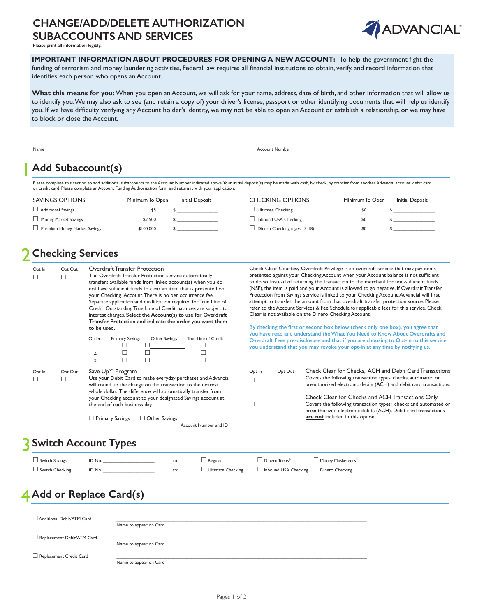### **CHANGE/ADD/DELETE AUTHORIZATION SUBACCOUNTS AND SERVICES**



**Please print all information legibly.** 

 **IMPORTANT INFORMATION ABOUT PROCEDURES FOR OPENING A NEW ACCOUNT:** To help the government fight the funding of terrorism and money laundering activities, Federal law requires all financial institutions to obtain, verify, and record information that identifies each person who opens an Account.

What this means for you: When you open an Account, we will ask for your name, address, date of birth, and other information that will allow us to identify you.We may also ask to see (and retain a copy of) your driver's license, passport or other identifying documents that will help us identify you. If we have difficulty verifying any Account holder's identity, we may not be able to open an Account or establish a relationship, or we may have to block or close the Account.

|             | Name                         |                                                                                                                                                                                                                                                                                                                                                                                                                                                                                                                                                                 |                 | <b>Account Number</b>                                                                                                                                                                                                                                                                                                                                                                                                                                                                                                                                                                                                                                                                                         |                 |                 |  |
|-------------|------------------------------|-----------------------------------------------------------------------------------------------------------------------------------------------------------------------------------------------------------------------------------------------------------------------------------------------------------------------------------------------------------------------------------------------------------------------------------------------------------------------------------------------------------------------------------------------------------------|-----------------|---------------------------------------------------------------------------------------------------------------------------------------------------------------------------------------------------------------------------------------------------------------------------------------------------------------------------------------------------------------------------------------------------------------------------------------------------------------------------------------------------------------------------------------------------------------------------------------------------------------------------------------------------------------------------------------------------------------|-----------------|-----------------|--|
|             |                              | <b>Add Subaccount(s)</b>                                                                                                                                                                                                                                                                                                                                                                                                                                                                                                                                        |                 |                                                                                                                                                                                                                                                                                                                                                                                                                                                                                                                                                                                                                                                                                                               |                 |                 |  |
|             |                              | or credit card. Please complete an Account Funding Authorization form and return it with your application.                                                                                                                                                                                                                                                                                                                                                                                                                                                      |                 | Please complete this section to add additional subaccounts to the Account Number indicated above. Your initial deposit(s) may be made with cash, by check, by transfer from another Advancial account, debit card                                                                                                                                                                                                                                                                                                                                                                                                                                                                                             |                 |                 |  |
|             | <b>SAVINGS OPTIONS</b>       | Minimum To Open                                                                                                                                                                                                                                                                                                                                                                                                                                                                                                                                                 | Initial Deposit | <b>CHECKING OPTIONS</b>                                                                                                                                                                                                                                                                                                                                                                                                                                                                                                                                                                                                                                                                                       | Minimum To Open | Initial Deposit |  |
|             | Additional Savings           | \$5                                                                                                                                                                                                                                                                                                                                                                                                                                                                                                                                                             |                 | $\Box$ Ultimate Checking                                                                                                                                                                                                                                                                                                                                                                                                                                                                                                                                                                                                                                                                                      | \$0             |                 |  |
|             | Money Market Savings         | \$2,500                                                                                                                                                                                                                                                                                                                                                                                                                                                                                                                                                         | $\sim$          | Inbound USA Checking                                                                                                                                                                                                                                                                                                                                                                                                                                                                                                                                                                                                                                                                                          | \$0             | $\frac{1}{2}$   |  |
|             | Premium Money Market Savings | \$100,000                                                                                                                                                                                                                                                                                                                                                                                                                                                                                                                                                       |                 | Dinero Checking (ages 13-18)                                                                                                                                                                                                                                                                                                                                                                                                                                                                                                                                                                                                                                                                                  | \$0             |                 |  |
|             |                              | <b>Checking Services</b>                                                                                                                                                                                                                                                                                                                                                                                                                                                                                                                                        |                 |                                                                                                                                                                                                                                                                                                                                                                                                                                                                                                                                                                                                                                                                                                               |                 |                 |  |
|             |                              |                                                                                                                                                                                                                                                                                                                                                                                                                                                                                                                                                                 |                 |                                                                                                                                                                                                                                                                                                                                                                                                                                                                                                                                                                                                                                                                                                               |                 |                 |  |
| Opt In<br>П | Opt Out<br>П                 | <b>Overdraft Transfer Protection</b><br>The Overdraft Transfer Protection service automatically<br>transfers available funds from linked account(s) when you do<br>not have sufficient funds to clear an item that is presented on<br>your Checking Account. There is no per occurrence fee.<br>Separate application and qualification required for True Line of<br>Credit. Outstanding True Line of Credit balances are subject to<br>interest charges. Select the Account(s) to use for Overdraft<br>Transfer Protection and indicate the order you want them |                 | Check Clear Courtesy Overdraft Privilege is an overdraft service that may pay items<br>presented against your Checking Account when your Account balance is not sufficient<br>to do so. Instead of returning the transaction to the merchant for non-sufficient funds<br>(NSF), the item is paid and your Account is allowed to go negative. If Overdraft Transfer<br>Protection from Savings service is linked to your Checking Account, Advancial will first<br>attempt to transfer the amount from that overdraft transfer protection source. Please<br>refer to the Account Services & Fee Schedule for applicable fees for this service. Check<br>Clear is not available on the Dinero Checking Account. |                 |                 |  |

| Opt In | Opt Out | Save Up <sup>SM</sup> Program                                                                                                                                                               | Opt In | Opt Out | Check Clear for Checks, ACH and Debit Card Transactions                                                                                                                               |
|--------|---------|---------------------------------------------------------------------------------------------------------------------------------------------------------------------------------------------|--------|---------|---------------------------------------------------------------------------------------------------------------------------------------------------------------------------------------|
|        |         | Use your Debit Card to make everyday purchases and Advancial<br>will round up the change on the transaction to the nearest<br>whole dollar. The difference will automatically transfer from |        |         | Covers the following transaction types: checks, automated or<br>preauthorized electronic debits (ACH) and debit card transactions.                                                    |
|        |         | your Checking account to your designated Savings account at<br>the end of each business day.                                                                                                |        |         | Check Clear for Checks and ACH Transactions Only<br>Covers the following transaction types: checks and automated or<br>preauthorized electronic debits (ACH). Debit card transactions |
|        |         | $\Box$ Other Savings<br>$\Box$ Primary Savings<br>Account Number and ID                                                                                                                     |        |         | are not included in this option.                                                                                                                                                      |

## **Switch Account Types**

| $\Box$ Switch Savings | D No.  | to: | ⊿ Regular         | $\Box$ Dinero Teens®                     | $\Box$ Money Musketeers® |
|-----------------------|--------|-----|-------------------|------------------------------------------|--------------------------|
| Switch Checking       | ID No. | to: | Ultimate Checking | □ Inbound USA Checking □ Dinero Checking |                          |

# 4**Add or Replace Card(s)**

| Additional Debit/ATM Card  | Name to appear on Card |  |
|----------------------------|------------------------|--|
| Replacement Debit/ATM Card | Name to appear on Card |  |
| Replacement Credit Card    | Name to appear on Card |  |